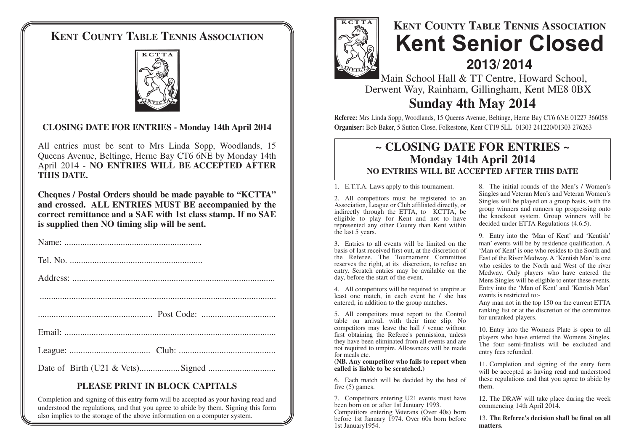## **KENT COUNTY TABLE TENNIS ASSOCIATION**



#### **CLOSING DATE FOR ENTRIES - Monday 14th April 2014**

All entries must be sent to Mrs Linda Sopp, Woodlands, 15 Queens Avenue, Beltinge, Herne Bay CT6 6NE by Monday 14th April 2014 - **NO ENTRIES WILL BE ACCEPTED AFTER THIS DATE.**

**Cheques / Postal Orders should be made payable to "KCTTA" and crossed. ALL ENTRIES MUST BE accompanied by the correct remittance and a SAE with 1st class stamp. If no SAE is supplied then NO timing slip will be sent.**

#### **PLEASE PRINT IN BLOCK CAPITALS**

Completion and signing of this entry form will be accepted as your having read and understood the regulations, and that you agree to abide by them. Signing this form also implies to the storage of the above information on a computer system.



# **KENT COUNTY TABLE TENNIS ASSOCIATION Kent Senior Closed 2013/ 2014**

Main School Hall & TT Centre, Howard School, Derwent Way, Rainham, Gillingham, Kent ME8 0BX

### **Sunday 4th May 2014**

**Referee:** Mrs Linda Sopp, Woodlands, 15 Queens Avenue, Beltinge, Herne Bay CT6 6NE 01227 366058 **Organiser:** Bob Baker, 5 Sutton Close, Folkestone, Kent CT19 5LL 01303 241220/01303 276263

#### **~ CLOSING DATE FOR ENTRIES ~ Monday 14th April 2014 NO ENTRIES WILL BE ACCEPTED AFTER THIS DATE**

1. E.T.T.A. Laws apply to this tournament.

2. All competitors must be registered to an Association, League or Club affiliated directly, or indirectly through the ETTA, to KCTTA, be eligible to play for Kent and not to have represented any other County than Kent within the last 5 years.

3. Entries to all events will be limited on the basis of last received first out, at the discretion of the Referee. The Tournament Committee reserves the right, at its discretion, to refuse an entry. Scratch entries may be available on the day, before the start of the event.

4. All competitors will be required to umpire at least one match, in each event he / she has entered, in addition to the group matches.

5. All competitors must report to the Control table on arrival, with their time slip. No competitors may leave the hall / venue without first obtaining the Referee's permission, unless they have been eliminated from all events and are not required to umpire. Allowances will be made for meals etc.

**(NB. Any competitor who fails to report when called is liable to be scratched.)**

6. Each match will be decided by the best of five (5) games.

7. Competitors entering U21 events must have been born on or after 1st January 1993. Competitors entering Veterans (Over 40s) born before 1st January 1974. Over 60s born before 1st January1954.

8. The initial rounds of the Men's / Women's Singles and Veteran Men's and Veteran Women's Singles will be played on a group basis, with the group winners and runners up progressing onto the knockout system. Group winners will be decided under ETTA Regulations (4.6.5).

9. Entry into the 'Man of Kent' and 'Kentish' man' events will be by residence qualification. A 'Man of Kent' is one who resides to the South and East of the River Medway. A 'Kentish Man' is one who resides to the North and West of the river Medway. Only players who have entered the Mens Singles will be eligible to enter these events. Entry into the 'Man of Kent' and 'Kentish Man' events is restricted to:-

Any man not in the top 150 on the current ETTA ranking list or at the discretion of the committee for unranked players.

10. Entry into the Womens Plate is open to all players who have entered the Womens Singles. The four semi-finalists will be excluded and entry fees refunded.

11. Completion and signing of the entry form will be accepted as having read and understood these regulations and that you agree to abide by them.

12. The DRAW will take place during the week commencing 14th April 2014.

13. **The Referee's decision shall be final on all matters.**